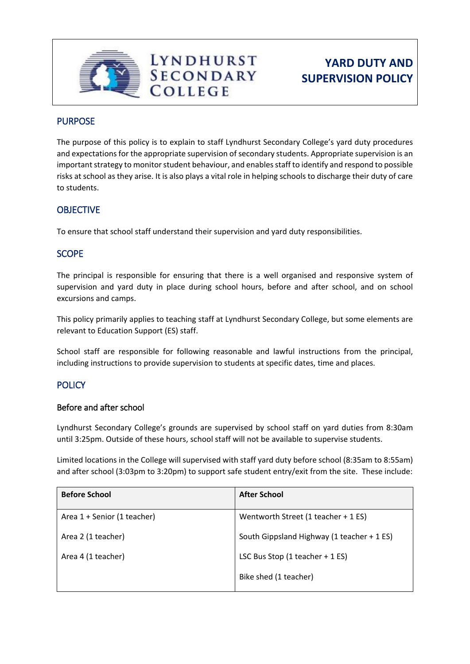

# **YARD DUTY AND SUPERVISION POLICY**

### PURPOSE

The purpose of this policy is to explain to staff Lyndhurst Secondary College's yard duty procedures and expectations for the appropriate supervision of secondary students. Appropriate supervision is an important strategy to monitor student behaviour, and enables staff to identify and respond to possible risks at school as they arise. It is also plays a vital role in helping schools to discharge their duty of care to students.

# **OBJECTIVE**

To ensure that school staff understand their supervision and yard duty responsibilities.

## **SCOPE**

The principal is responsible for ensuring that there is a well organised and responsive system of supervision and yard duty in place during school hours, before and after school, and on school excursions and camps.

This policy primarily applies to teaching staff at Lyndhurst Secondary College, but some elements are relevant to Education Support (ES) staff.

School staff are responsible for following reasonable and lawful instructions from the principal, including instructions to provide supervision to students at specific dates, time and places.

# **POLICY**

#### Before and after school

Lyndhurst Secondary College's grounds are supervised by school staff on yard duties from 8:30am until 3:25pm. Outside of these hours, school staff will not be available to supervise students.

Limited locations in the College will supervised with staff yard duty before school (8:35am to 8:55am) and after school (3:03pm to 3:20pm) to support safe student entry/exit from the site. These include:

| <b>After School</b>                        |
|--------------------------------------------|
| Wentworth Street (1 teacher + 1 ES)        |
| South Gippsland Highway (1 teacher + 1 ES) |
| LSC Bus Stop $(1$ teacher + 1 ES)          |
| Bike shed (1 teacher)                      |
|                                            |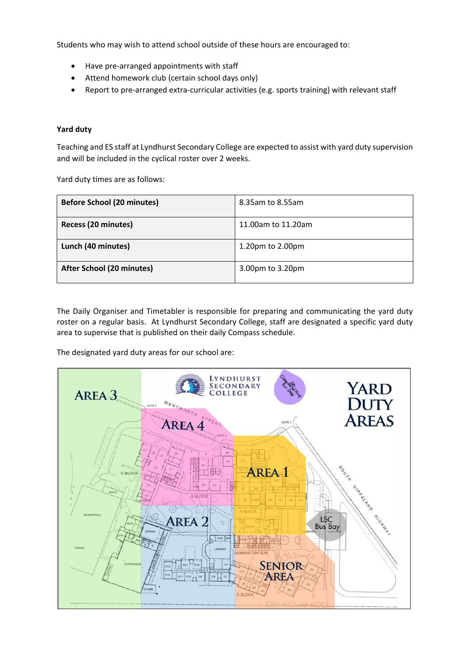Students who may wish to attend school outside of these hours are encouraged to:

- Have pre-arranged appointments with staff
- Attend homework club (certain school days only)
- Report to pre-arranged extra-curricular activities (e.g. sports training) with relevant staff

#### **Yard duty**

Teaching and ES staff at Lyndhurst Secondary College are expected to assist with yard duty supervision and will be included in the cyclical roster over 2 weeks.

Yard duty times are as follows:

| <b>Before School (20 minutes)</b> | 8.35am to 8.55am   |
|-----------------------------------|--------------------|
| Recess (20 minutes)               | 11.00am to 11.20am |
| Lunch (40 minutes)                | 1.20pm to 2.00pm   |
| After School (20 minutes)         | 3.00pm to 3.20pm   |

The Daily Organiser and Timetabler is responsible for preparing and communicating the yard duty roster on a regular basis. At Lyndhurst Secondary College, staff are designated a specific yard duty area to supervise that is published on their daily Compass schedule.

The designated yard duty areas for our school are:

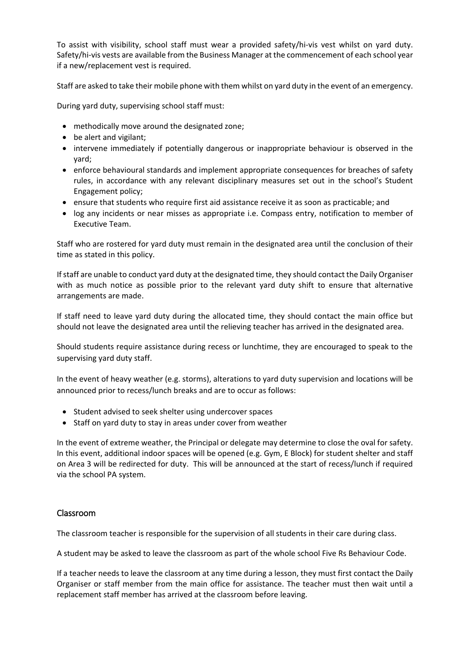To assist with visibility, school staff must wear a provided safety/hi-vis vest whilst on yard duty. Safety/hi-vis vests are available from the Business Manager at the commencement of each school year if a new/replacement vest is required.

Staff are asked to take their mobile phone with them whilst on yard duty in the event of an emergency.

During yard duty, supervising school staff must:

- methodically move around the designated zone;
- be alert and vigilant;
- intervene immediately if potentially dangerous or inappropriate behaviour is observed in the yard;
- enforce behavioural standards and implement appropriate consequences for breaches of safety rules, in accordance with any relevant disciplinary measures set out in the school's Student Engagement policy;
- ensure that students who require first aid assistance receive it as soon as practicable; and
- log any incidents or near misses as appropriate i.e. Compass entry, notification to member of Executive Team.

Staff who are rostered for yard duty must remain in the designated area until the conclusion of their time as stated in this policy.

If staff are unable to conduct yard duty at the designated time, they should contact the Daily Organiser with as much notice as possible prior to the relevant yard duty shift to ensure that alternative arrangements are made.

If staff need to leave yard duty during the allocated time, they should contact the main office but should not leave the designated area until the relieving teacher has arrived in the designated area.

Should students require assistance during recess or lunchtime, they are encouraged to speak to the supervising yard duty staff.

In the event of heavy weather (e.g. storms), alterations to yard duty supervision and locations will be announced prior to recess/lunch breaks and are to occur as follows:

- Student advised to seek shelter using undercover spaces
- Staff on yard duty to stay in areas under cover from weather

In the event of extreme weather, the Principal or delegate may determine to close the oval for safety. In this event, additional indoor spaces will be opened (e.g. Gym, E Block) for student shelter and staff on Area 3 will be redirected for duty. This will be announced at the start of recess/lunch if required via the school PA system.

#### Classroom

The classroom teacher is responsible for the supervision of all students in their care during class.

A student may be asked to leave the classroom as part of the whole school Five Rs Behaviour Code.

If a teacher needs to leave the classroom at any time during a lesson, they must first contact the Daily Organiser or staff member from the main office for assistance. The teacher must then wait until a replacement staff member has arrived at the classroom before leaving.